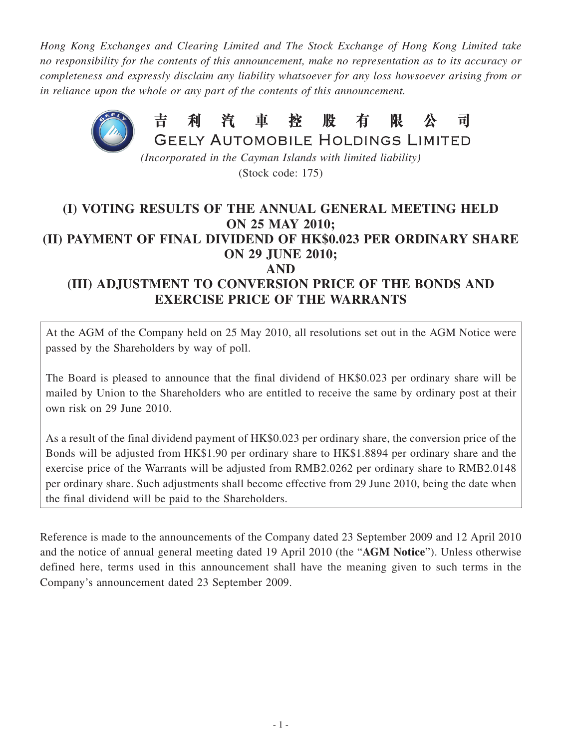*Hong Kong Exchanges and Clearing Limited and The Stock Exchange of Hong Kong Limited take no responsibility for the contents of this announcement, make no representation as to its accuracy or completeness and expressly disclaim any liability whatsoever for any loss howsoever arising from or in reliance upon the whole or any part of the contents of this announcement.*



(Stock code: 175)

## **(I) VOTING RESULTS OF THE ANNUAL GENERAL MEETING HELD ON 25 MAY 2010; (II) PAYMENT OF FINAL DIVIDEND OF HK\$0.023 PER ORDINARY SHARE ON 29 JUNE 2010; AND (III) ADJUSTMENT TO CONVERSION PRICE OF THE BONDS AND EXERCISE PRICE OF THE WARRANTS**

At the AGM of the Company held on 25 May 2010, all resolutions set out in the AGM Notice were passed by the Shareholders by way of poll.

The Board is pleased to announce that the final dividend of HK\$0.023 per ordinary share will be mailed by Union to the Shareholders who are entitled to receive the same by ordinary post at their own risk on 29 June 2010.

As a result of the final dividend payment of HK\$0.023 per ordinary share, the conversion price of the Bonds will be adjusted from HK\$1.90 per ordinary share to HK\$1.8894 per ordinary share and the exercise price of the Warrants will be adjusted from RMB2.0262 per ordinary share to RMB2.0148 per ordinary share. Such adjustments shall become effective from 29 June 2010, being the date when the final dividend will be paid to the Shareholders.

Reference is made to the announcements of the Company dated 23 September 2009 and 12 April 2010 and the notice of annual general meeting dated 19 April 2010 (the "**AGM Notice**"). Unless otherwise defined here, terms used in this announcement shall have the meaning given to such terms in the Company's announcement dated 23 September 2009.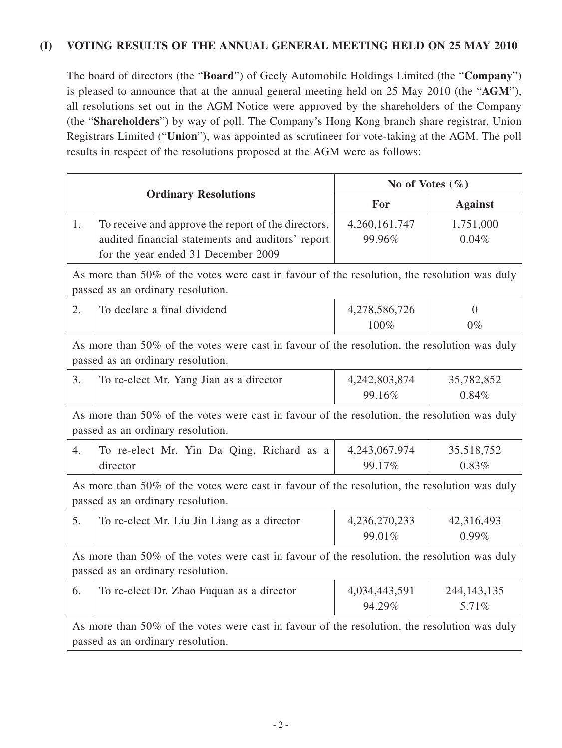## **(I) VOTING RESULTS OF THE ANNUAL GENERAL MEETING HELD ON 25 MAY 2010**

The board of directors (the "**Board**") of Geely Automobile Holdings Limited (the "**Company**") is pleased to announce that at the annual general meeting held on 25 May 2010 (the "**AGM**"), all resolutions set out in the AGM Notice were approved by the shareholders of the Company (the "**Shareholders**") by way of poll. The Company's Hong Kong branch share registrar, Union Registrars Limited ("**Union**"), was appointed as scrutineer for vote-taking at the AGM. The poll results in respect of the resolutions proposed at the AGM were as follows:

| <b>Ordinary Resolutions</b>                                                                                                       |                                                                                                                                                 | No of Votes $(\% )$     |                         |  |
|-----------------------------------------------------------------------------------------------------------------------------------|-------------------------------------------------------------------------------------------------------------------------------------------------|-------------------------|-------------------------|--|
|                                                                                                                                   |                                                                                                                                                 | For                     | <b>Against</b>          |  |
| 1.                                                                                                                                | To receive and approve the report of the directors,<br>audited financial statements and auditors' report<br>for the year ended 31 December 2009 | 4,260,161,747<br>99.96% | 1,751,000<br>0.04%      |  |
| As more than 50% of the votes were cast in favour of the resolution, the resolution was duly<br>passed as an ordinary resolution. |                                                                                                                                                 |                         |                         |  |
| 2.                                                                                                                                | To declare a final dividend                                                                                                                     | 4,278,586,726<br>100%   | $\overline{0}$<br>$0\%$ |  |
| As more than 50% of the votes were cast in favour of the resolution, the resolution was duly<br>passed as an ordinary resolution. |                                                                                                                                                 |                         |                         |  |
| 3.                                                                                                                                | To re-elect Mr. Yang Jian as a director                                                                                                         | 4,242,803,874<br>99.16% | 35,782,852<br>0.84%     |  |
| As more than 50% of the votes were cast in favour of the resolution, the resolution was duly<br>passed as an ordinary resolution. |                                                                                                                                                 |                         |                         |  |
| 4.                                                                                                                                | To re-elect Mr. Yin Da Qing, Richard as a<br>director                                                                                           | 4,243,067,974<br>99.17% | 35,518,752<br>0.83%     |  |
| As more than 50% of the votes were cast in favour of the resolution, the resolution was duly<br>passed as an ordinary resolution. |                                                                                                                                                 |                         |                         |  |
| 5.                                                                                                                                | To re-elect Mr. Liu Jin Liang as a director                                                                                                     | 4,236,270,233<br>99.01% | 42,316,493<br>0.99%     |  |
| As more than 50% of the votes were cast in favour of the resolution, the resolution was duly<br>passed as an ordinary resolution. |                                                                                                                                                 |                         |                         |  |
| 6.                                                                                                                                | To re-elect Dr. Zhao Fuquan as a director                                                                                                       | 4,034,443,591<br>94.29% | 244, 143, 135<br>5.71%  |  |
| As more than 50% of the votes were cast in favour of the resolution, the resolution was duly<br>passed as an ordinary resolution. |                                                                                                                                                 |                         |                         |  |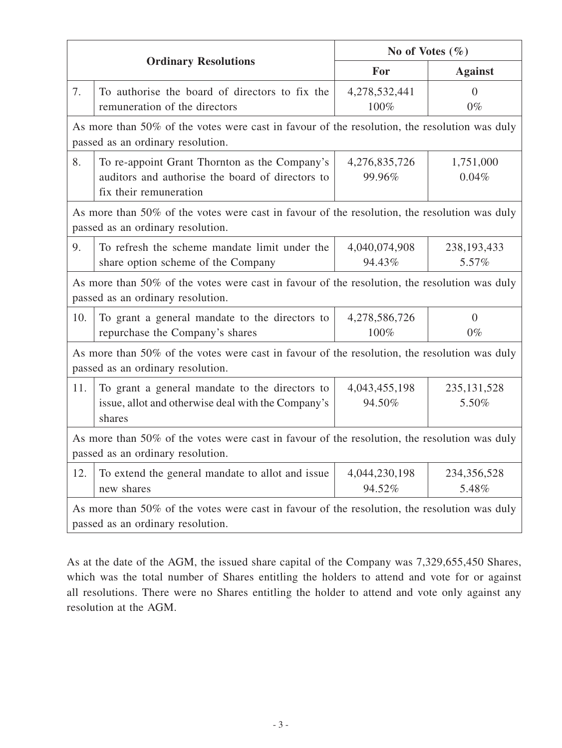| <b>Ordinary Resolutions</b>                                                                                                       |                                                                                                                             | No of Votes $(\% )$     |                         |  |
|-----------------------------------------------------------------------------------------------------------------------------------|-----------------------------------------------------------------------------------------------------------------------------|-------------------------|-------------------------|--|
|                                                                                                                                   |                                                                                                                             | For                     | <b>Against</b>          |  |
| 7.                                                                                                                                | To authorise the board of directors to fix the<br>remuneration of the directors                                             | 4,278,532,441<br>100%   | $\overline{0}$<br>$0\%$ |  |
| As more than 50% of the votes were cast in favour of the resolution, the resolution was duly<br>passed as an ordinary resolution. |                                                                                                                             |                         |                         |  |
| 8.                                                                                                                                | To re-appoint Grant Thornton as the Company's<br>auditors and authorise the board of directors to<br>fix their remuneration | 4,276,835,726<br>99.96% | 1,751,000<br>0.04%      |  |
| As more than 50% of the votes were cast in favour of the resolution, the resolution was duly<br>passed as an ordinary resolution. |                                                                                                                             |                         |                         |  |
| 9.                                                                                                                                | To refresh the scheme mandate limit under the<br>share option scheme of the Company                                         | 4,040,074,908<br>94.43% | 238, 193, 433<br>5.57%  |  |
| As more than 50% of the votes were cast in favour of the resolution, the resolution was duly<br>passed as an ordinary resolution. |                                                                                                                             |                         |                         |  |
| 10.                                                                                                                               | To grant a general mandate to the directors to<br>repurchase the Company's shares                                           | 4,278,586,726<br>100%   | $\theta$<br>$0\%$       |  |
| As more than 50% of the votes were cast in favour of the resolution, the resolution was duly<br>passed as an ordinary resolution. |                                                                                                                             |                         |                         |  |
| 11.                                                                                                                               | To grant a general mandate to the directors to<br>issue, allot and otherwise deal with the Company's<br>shares              | 4,043,455,198<br>94.50% | 235, 131, 528<br>5.50%  |  |
| As more than 50% of the votes were cast in favour of the resolution, the resolution was duly<br>passed as an ordinary resolution. |                                                                                                                             |                         |                         |  |
| 12.                                                                                                                               | To extend the general mandate to allot and issue<br>new shares                                                              | 4,044,230,198<br>94.52% | 234,356,528<br>5.48%    |  |
| As more than 50% of the votes were cast in favour of the resolution, the resolution was duly<br>passed as an ordinary resolution. |                                                                                                                             |                         |                         |  |

As at the date of the AGM, the issued share capital of the Company was 7,329,655,450 Shares, which was the total number of Shares entitling the holders to attend and vote for or against all resolutions. There were no Shares entitling the holder to attend and vote only against any resolution at the AGM.